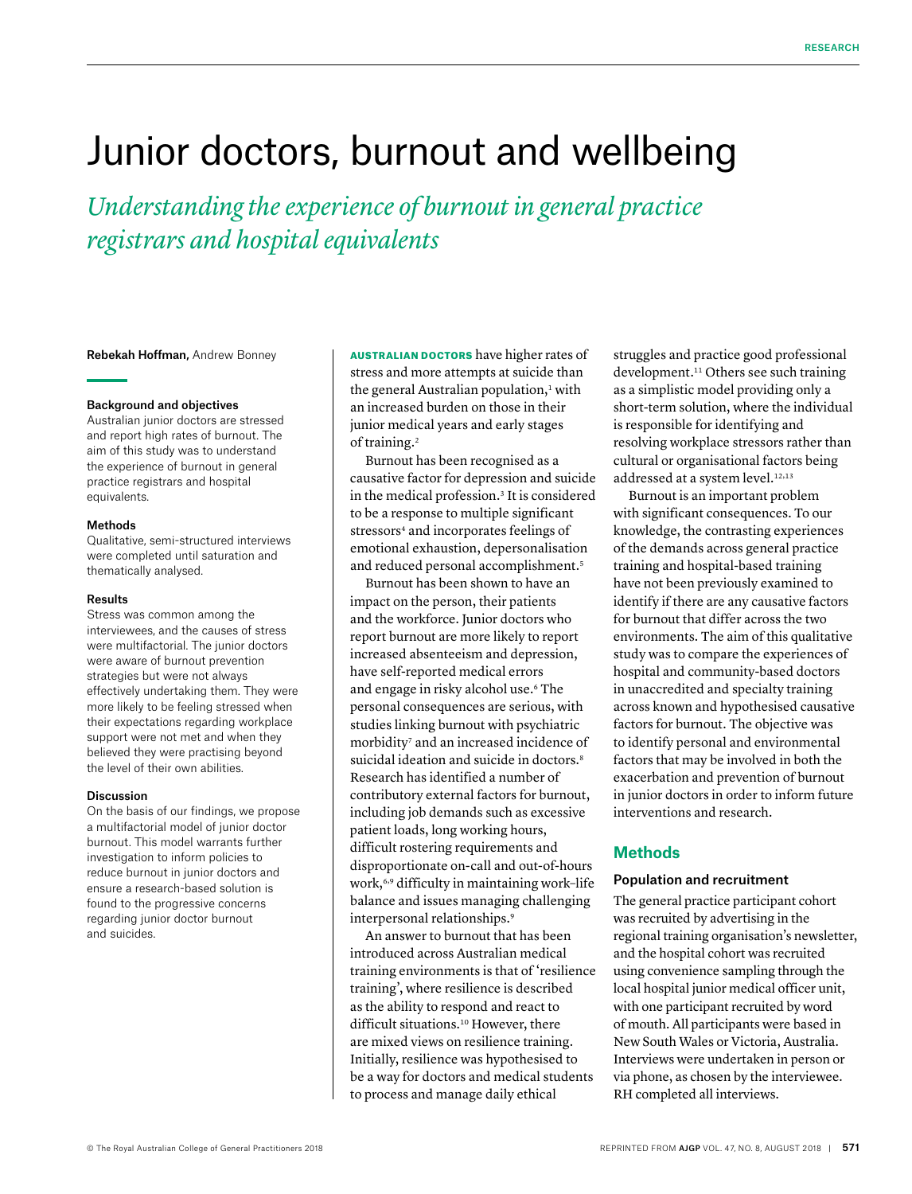# Junior doctors, burnout and wellbeing

*Understanding the experience of burnout in general practice registrars and hospital equivalents*

Rebekah Hoffman, Andrew Bonney

### Background and objectives

Australian junior doctors are stressed and report high rates of burnout. The aim of this study was to understand the experience of burnout in general practice registrars and hospital equivalents.

## Methods

Qualitative, semi-structured interviews were completed until saturation and thematically analysed.

#### Results

Stress was common among the interviewees, and the causes of stress were multifactorial. The junior doctors were aware of burnout prevention strategies but were not always effectively undertaking them. They were more likely to be feeling stressed when their expectations regarding workplace support were not met and when they believed they were practising beyond the level of their own abilities.

#### Discussion

On the basis of our findings, we propose a multifactorial model of junior doctor burnout. This model warrants further investigation to inform policies to reduce burnout in junior doctors and ensure a research-based solution is found to the progressive concerns regarding junior doctor burnout and suicides.

AUSTRALIAN DOCTORS have higher rates of stress and more attempts at suicide than the general Australian population, $1$  with an increased burden on those in their junior medical years and early stages of training.<sup>2</sup>

Burnout has been recognised as a causative factor for depression and suicide in the medical profession.<sup>3</sup> It is considered to be a response to multiple significant stressors<sup>4</sup> and incorporates feelings of emotional exhaustion, depersonalisation and reduced personal accomplishment.<sup>5</sup>

Burnout has been shown to have an impact on the person, their patients and the workforce. Junior doctors who report burnout are more likely to report increased absenteeism and depression, have self-reported medical errors and engage in risky alcohol use.6 The personal consequences are serious, with studies linking burnout with psychiatric morbidity<sup>7</sup> and an increased incidence of suicidal ideation and suicide in doctors.<sup>8</sup> Research has identified a number of contributory external factors for burnout, including job demands such as excessive patient loads, long working hours, difficult rostering requirements and disproportionate on-call and out-of-hours work,6,9 difficulty in maintaining work–life balance and issues managing challenging interpersonal relationships.<sup>9</sup>

An answer to burnout that has been introduced across Australian medical training environments is that of 'resilience training', where resilience is described as the ability to respond and react to difficult situations.<sup>10</sup> However, there are mixed views on resilience training. Initially, resilience was hypothesised to be a way for doctors and medical students to process and manage daily ethical

struggles and practice good professional development.11 Others see such training as a simplistic model providing only a short-term solution, where the individual is responsible for identifying and resolving workplace stressors rather than cultural or organisational factors being addressed at a system level.<sup>12,13</sup>

Burnout is an important problem with significant consequences. To our knowledge, the contrasting experiences of the demands across general practice training and hospital-based training have not been previously examined to identify if there are any causative factors for burnout that differ across the two environments. The aim of this qualitative study was to compare the experiences of hospital and community-based doctors in unaccredited and specialty training across known and hypothesised causative factors for burnout. The objective was to identify personal and environmental factors that may be involved in both the exacerbation and prevention of burnout in junior doctors in order to inform future interventions and research.

# **Methods**

## Population and recruitment

The general practice participant cohort was recruited by advertising in the regional training organisation's newsletter, and the hospital cohort was recruited using convenience sampling through the local hospital junior medical officer unit, with one participant recruited by word of mouth. All participants were based in New South Wales or Victoria, Australia. Interviews were undertaken in person or via phone, as chosen by the interviewee. RH completed all interviews.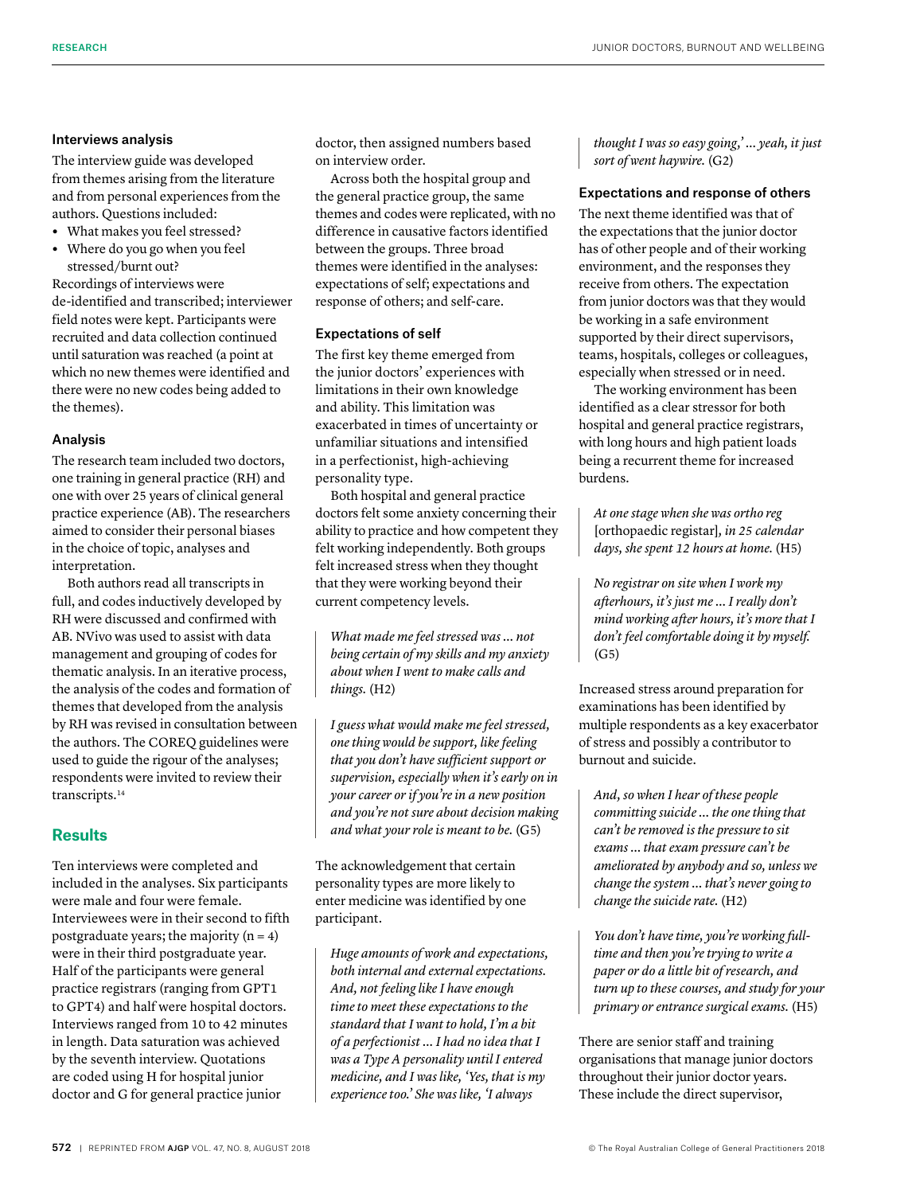## Interviews analysis

The interview guide was developed from themes arising from the literature and from personal experiences from the authors. Questions included:

- **•** What makes you feel stressed?
- **•** Where do you go when you feel stressed/burnt out?

Recordings of interviews were de-identified and transcribed; interviewer field notes were kept. Participants were recruited and data collection continued until saturation was reached (a point at which no new themes were identified and there were no new codes being added to the themes).

## Analysis

The research team included two doctors, one training in general practice (RH) and one with over 25 years of clinical general practice experience (AB). The researchers aimed to consider their personal biases in the choice of topic, analyses and interpretation.

Both authors read all transcripts in full, and codes inductively developed by RH were discussed and confirmed with AB. NVivo was used to assist with data management and grouping of codes for thematic analysis. In an iterative process, the analysis of the codes and formation of themes that developed from the analysis by RH was revised in consultation between the authors. The COREQ guidelines were used to guide the rigour of the analyses; respondents were invited to review their transcripts.<sup>14</sup>

# **Results**

Ten interviews were completed and included in the analyses. Six participants were male and four were female. Interviewees were in their second to fifth postgraduate years; the majority  $(n = 4)$ were in their third postgraduate year. Half of the participants were general practice registrars (ranging from GPT1 to GPT4) and half were hospital doctors. Interviews ranged from 10 to 42 minutes in length. Data saturation was achieved by the seventh interview. Quotations are coded using H for hospital junior doctor and G for general practice junior

doctor, then assigned numbers based on interview order.

Across both the hospital group and the general practice group, the same themes and codes were replicated, with no difference in causative factors identified between the groups. Three broad themes were identified in the analyses: expectations of self; expectations and response of others; and self-care.

## Expectations of self

The first key theme emerged from the junior doctors' experiences with limitations in their own knowledge and ability. This limitation was exacerbated in times of uncertainty or unfamiliar situations and intensified in a perfectionist, high-achieving personality type.

Both hospital and general practice doctors felt some anxiety concerning their ability to practice and how competent they felt working independently. Both groups felt increased stress when they thought that they were working beyond their current competency levels.

*What made me feel stressed was … not being certain of my skills and my anxiety about when I went to make calls and things.* (H2)

*I guess what would make me feel stressed, one thing would be support, like feeling that you don't have sufficient support or supervision, especially when it's early on in your career or if you're in a new position and you're not sure about decision making and what your role is meant to be.* (G5)

The acknowledgement that certain personality types are more likely to enter medicine was identified by one participant.

*Huge amounts of work and expectations, both internal and external expectations. And, not feeling like I have enough time to meet these expectations to the standard that I want to hold, I'm a bit of a perfectionist … I had no idea that I was a Type A personality until I entered medicine, and I was like, 'Yes, that is my experience too.' She was like, 'I always* 

*thought I was so easy going,' … yeah, it just sort of went haywire.* (G2)

## Expectations and response of others

The next theme identified was that of the expectations that the junior doctor has of other people and of their working environment, and the responses they receive from others. The expectation from junior doctors was that they would be working in a safe environment supported by their direct supervisors, teams, hospitals, colleges or colleagues, especially when stressed or in need.

The working environment has been identified as a clear stressor for both hospital and general practice registrars, with long hours and high patient loads being a recurrent theme for increased burdens.

*At one stage when she was ortho reg*  [orthopaedic registar]*, in 25 calendar days, she spent 12 hours at home.* (H5)

*No registrar on site when I work my afterhours, it's just me … I really don't mind working after hours, it's more that I don't feel comfortable doing it by myself.*   $(G5)$ 

Increased stress around preparation for examinations has been identified by multiple respondents as a key exacerbator of stress and possibly a contributor to burnout and suicide.

*And, so when I hear of these people committing suicide … the one thing that can't be removed is the pressure to sit exams … that exam pressure can't be ameliorated by anybody and so, unless we change the system … that's never going to change the suicide rate.* (H2)

*You don't have time, you're working fulltime and then you're trying to write a paper or do a little bit of research, and turn up to these courses, and study for your primary or entrance surgical exams.* (H5)

There are senior staff and training organisations that manage junior doctors throughout their junior doctor years. These include the direct supervisor,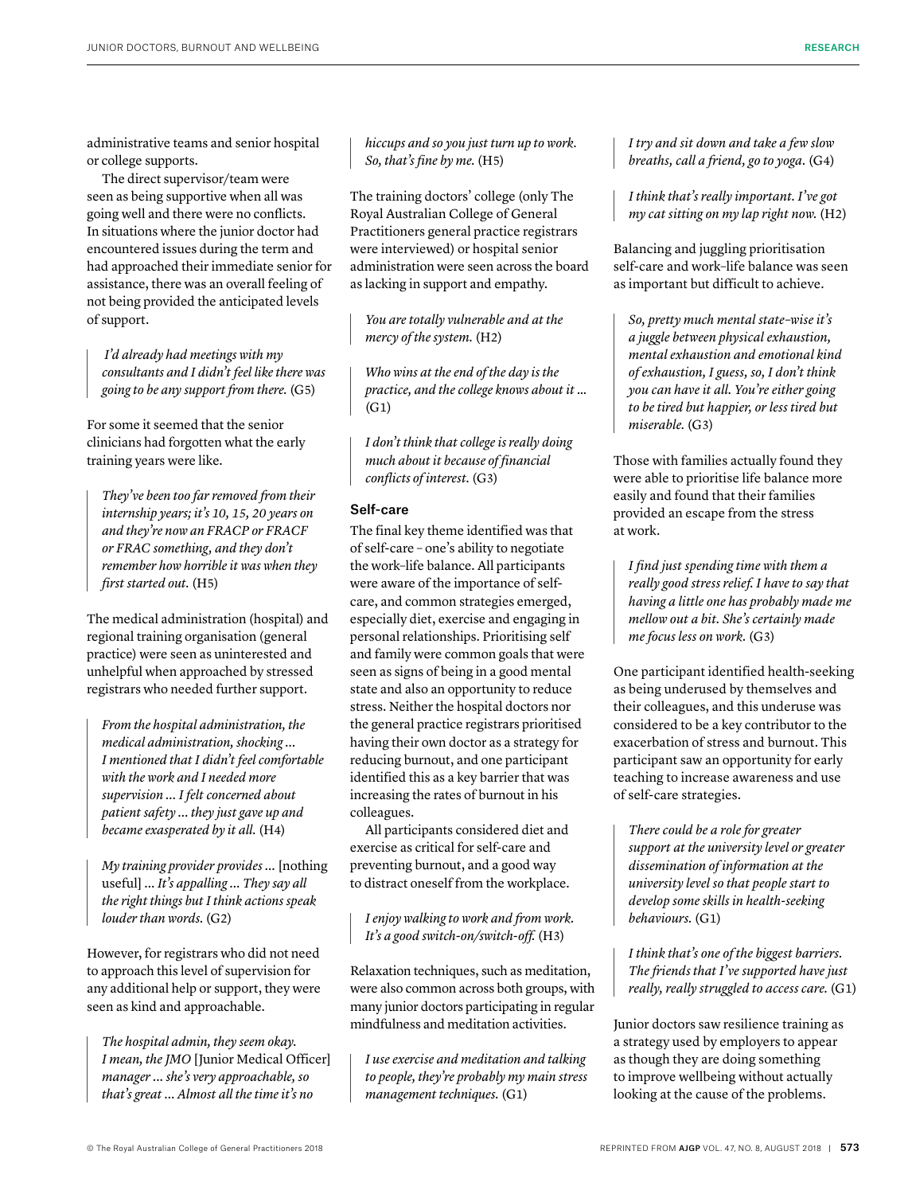administrative teams and senior hospital or college supports.

The direct supervisor/team were seen as being supportive when all was going well and there were no conflicts. In situations where the junior doctor had encountered issues during the term and had approached their immediate senior for assistance, there was an overall feeling of not being provided the anticipated levels of support.

 *I'd already had meetings with my consultants and I didn't feel like there was going to be any support from there.* (G5)

For some it seemed that the senior clinicians had forgotten what the early training years were like.

*They've been too far removed from their internship years; it's 10, 15, 20 years on and they're now an FRACP or FRACF or FRAC something, and they don't remember how horrible it was when they first started out.* (H5)

The medical administration (hospital) and regional training organisation (general practice) were seen as uninterested and unhelpful when approached by stressed registrars who needed further support.

*From the hospital administration, the medical administration, shocking … I mentioned that I didn't feel comfortable with the work and I needed more supervision … I felt concerned about patient safety … they just gave up and became exasperated by it all.* (H4)

*My training provider provides …* [nothing useful] *… It's appalling … They say all the right things but I think actions speak louder than words.* (G2)

However, for registrars who did not need to approach this level of supervision for any additional help or support, they were seen as kind and approachable.

*The hospital admin, they seem okay. I mean, the JMO* [Junior Medical Officer] *manager ... she's very approachable, so that's great … Almost all the time it's no* 

*hiccups and so you just turn up to work. So, that's fine by me.* (H5)

The training doctors' college (only The Royal Australian College of General Practitioners general practice registrars were interviewed) or hospital senior administration were seen across the board as lacking in support and empathy.

*You are totally vulnerable and at the mercy of the system.* (H2)

*Who wins at the end of the day is the practice, and the college knows about it* …  $(G<sub>1</sub>)$ 

*I don't think that college is really doing much about it because of financial conflicts of interest.* (G3)

# Self-care

The final key theme identified was that of self-care – one's ability to negotiate the work–life balance. All participants were aware of the importance of selfcare, and common strategies emerged, especially diet, exercise and engaging in personal relationships. Prioritising self and family were common goals that were seen as signs of being in a good mental state and also an opportunity to reduce stress. Neither the hospital doctors nor the general practice registrars prioritised having their own doctor as a strategy for reducing burnout, and one participant identified this as a key barrier that was increasing the rates of burnout in his colleagues.

All participants considered diet and exercise as critical for self-care and preventing burnout, and a good way to distract oneself from the workplace.

*I enjoy walking to work and from work. It's a good switch-on/switch-off.* (H3)

Relaxation techniques, such as meditation, were also common across both groups, with many junior doctors participating in regular mindfulness and meditation activities.

*I use exercise and meditation and talking to people, they're probably my main stress management techniques.* (G1)

*I try and sit down and take a few slow breaths, call a friend, go to yoga.* (G4)

*I think that's really important. I've got my cat sitting on my lap right now.* (H2)

Balancing and juggling prioritisation self-care and work–life balance was seen as important but difficult to achieve.

*So, pretty much mental state–wise it's a juggle between physical exhaustion, mental exhaustion and emotional kind of exhaustion, I guess, so, I don't think you can have it all. You're either going to be tired but happier, or less tired but miserable.* (G3)

Those with families actually found they were able to prioritise life balance more easily and found that their families provided an escape from the stress at work.

*I find just spending time with them a really good stress relief. I have to say that having a little one has probably made me mellow out a bit. She's certainly made me focus less on work.* (G3)

One participant identified health-seeking as being underused by themselves and their colleagues, and this underuse was considered to be a key contributor to the exacerbation of stress and burnout. This participant saw an opportunity for early teaching to increase awareness and use of self-care strategies.

*There could be a role for greater support at the university level or greater dissemination of information at the university level so that people start to develop some skills in health-seeking behaviours.* (G1)

*I think that's one of the biggest barriers. The friends that I've supported have just really, really struggled to access care.* (G1)

Junior doctors saw resilience training as a strategy used by employers to appear as though they are doing something to improve wellbeing without actually looking at the cause of the problems.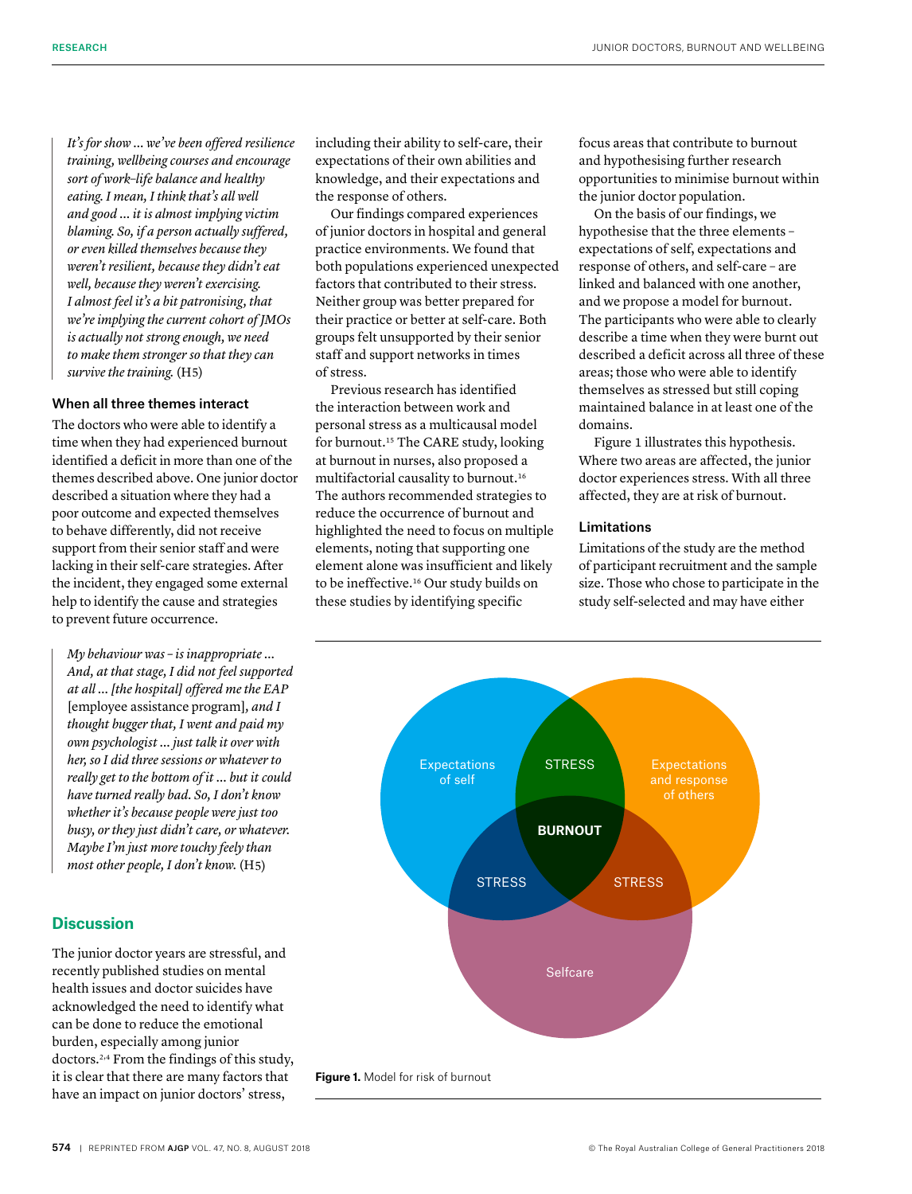*It's for show … we've been offered resilience training, wellbeing courses and encourage sort of work*–*life balance and healthy eating. I mean, I think that's all well and good … it is almost implying victim blaming. So, if a person actually suffered, or even killed themselves because they weren't resilient, because they didn't eat well, because they weren't exercising. I almost feel it's a bit patronising, that we're implying the current cohort of JMOs is actually not strong enough, we need to make them stronger so that they can survive the training.* (H5)

## When all three themes interact

The doctors who were able to identify a time when they had experienced burnout identified a deficit in more than one of the themes described above. One junior doctor described a situation where they had a poor outcome and expected themselves to behave differently, did not receive support from their senior staff and were lacking in their self-care strategies. After the incident, they engaged some external help to identify the cause and strategies to prevent future occurrence.

*My behaviour was – is inappropriate … And, at that stage, I did not feel supported at all … [the hospital] offered me the EAP*  [employee assistance program]*, and I thought bugger that, I went and paid my own psychologist … just talk it over with her, so I did three sessions or whatever to really get to the bottom of it … but it could have turned really bad. So, I don't know whether it's because people were just too busy, or they just didn't care, or whatever. Maybe I'm just more touchy feely than most other people, I don't know.* (H5)

# **Discussion**

The junior doctor years are stressful, and recently published studies on mental health issues and doctor suicides have acknowledged the need to identify what can be done to reduce the emotional burden, especially among junior doctors.2,4 From the findings of this study, it is clear that there are many factors that have an impact on junior doctors' stress,

including their ability to self-care, their expectations of their own abilities and knowledge, and their expectations and the response of others.

Our findings compared experiences of junior doctors in hospital and general practice environments. We found that both populations experienced unexpected factors that contributed to their stress. Neither group was better prepared for their practice or better at self-care. Both groups felt unsupported by their senior staff and support networks in times of stress.

Previous research has identified the interaction between work and personal stress as a multicausal model for burnout.15 The CARE study, looking at burnout in nurses, also proposed a multifactorial causality to burnout.16 The authors recommended strategies to reduce the occurrence of burnout and highlighted the need to focus on multiple elements, noting that supporting one element alone was insufficient and likely to be ineffective.16 Our study builds on these studies by identifying specific

focus areas that contribute to burnout and hypothesising further research opportunities to minimise burnout within the junior doctor population.

On the basis of our findings, we hypothesise that the three elements – expectations of self, expectations and response of others, and self-care – are linked and balanced with one another, and we propose a model for burnout. The participants who were able to clearly describe a time when they were burnt out described a deficit across all three of these areas; those who were able to identify themselves as stressed but still coping maintained balance in at least one of the domains.

Figure 1 illustrates this hypothesis. Where two areas are affected, the junior doctor experiences stress. With all three affected, they are at risk of burnout.

## Limitations

Limitations of the study are the method of participant recruitment and the sample size. Those who chose to participate in the study self-selected and may have either